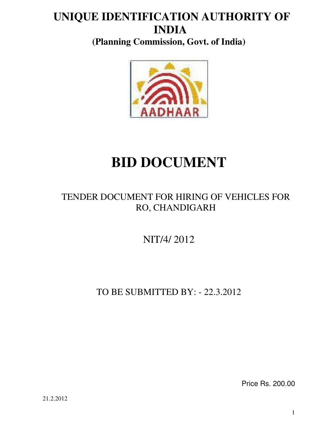## **UNIQUE IDENTIFICATION AUTHORITY OF INDIA**

**(Planning Commission, Govt. of India)** 



# **BID DOCUMENT**

## TENDER DOCUMENT FOR HIRING OF VEHICLES FOR RO, CHANDIGARH

NIT/4/ 2012

TO BE SUBMITTED BY: - 22.3.2012

Price Rs. 200.00

21.2.2012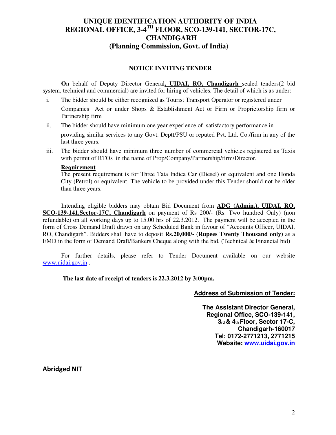## **UNIQUE IDENTIFICATION AUTHORITY OF INDIA REGIONAL OFFICE, 3-4TH FLOOR, SCO-139-141, SECTOR-17C, CHANDIGARH (Planning Commission, Govt. of India)**

#### **NOTICE INVITING TENDER**

**O**n behalf of Deputy Director General**, UIDAI, RO, Chandigarh** sealed tenders(2 bid system, technical and commercial) are invited for hiring of vehicles. The detail of which is as under:-

- i. The bidder should be either recognized as Tourist Transport Operator or registered under Companies Act or under Shops & Establishment Act or Firm or Proprietorship firm or Partnership firm
- ii. The bidder should have minimum one year experience of satisfactory performance in providing similar services to any Govt. Deptt/PSU or reputed Pvt. Ltd. Co./firm in any of the last three years.
- iii. The bidder should have minimum three number of commercial vehicles registered as Taxis with permit of RTOs in the name of Prop/Company/Partnership/firm/Director.

#### **Requirement**

The present requirement is for Three Tata Indica Car (Diesel) or equivalent and one Honda City (Petrol) or equivalent. The vehicle to be provided under this Tender should not be older than three years.

 Intending eligible bidders may obtain Bid Document from **ADG (Admin.), UIDAI, RO, SCO-139-141,Sector-17C, Chandigarh** on payment of Rs 200/- (Rs. Two hundred Only) (non refundable) on all working days up to 15.00 hrs of 22.3.2012. The payment will be accepted in the form of Cross Demand Draft drawn on any Scheduled Bank in favour of "Accounts Officer, UIDAI, RO, Chandigarh". Bidders shall have to deposit **Rs.20,000/- (Rupees Twenty Thousand only)** as a EMD in the form of Demand Draft/Bankers Cheque along with the bid. (Technical & Financial bid)

 For further details, please refer to Tender Document available on our website www.uidai.gov.in.

 **The last date of receipt of tenders is 22.3.2012 by 3:00pm.** 

#### **Address of Submission of Tender:**

**The Assistant Director General, Regional Office, SCO-139-141, 3rd & 4th Floor, Sector 17-C, Chandigarh-160017 Tel: 0172-2771213, 2771215 Website: www.uidai.gov.in**

Abridged NIT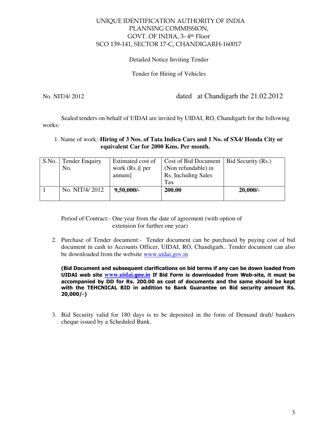#### UNIQUE IDENTIFICATION AUTHORITY OF INDIA PLANNING COMMISSION, GOVT. OF INDIA, 3- 4th Floor SCO 139-141, SECTOR 17-C, CHANDIGARH-160017

#### Detailed Notice Inviting Tender

#### Tender for Hiring of Vehicles

No. NIT/4/ 2012 dated at Chandigarh the 21.02.2012

 Sealed tenders on behalf of UIDAI are invited by UIDAI, RO, Chandigarh for the following works:

#### 1. Name of work:-**Hiring of 3 Nos. of Tata Indica Cars and 1 No. of SX4/ Honda City or equivalent Car for 2000 Kms. Per month.**

| S.No. | <b>Tender Enquiry</b> | Estimated cost of | Cost of Bid Document   Bid Security (Rs.) |            |
|-------|-----------------------|-------------------|-------------------------------------------|------------|
|       | No.                   | work $(Rs.)$ per  | (Non refundable) in                       |            |
|       |                       | annum             | Rs. Including Sales                       |            |
|       |                       |                   | Tax                                       |            |
|       | No. NIT/4/2012        | $9,50,000/$ -     | 200.00                                    | $20,000/-$ |
|       |                       |                   |                                           |            |

Period of Contract:- One year from the date of agreement (with option of extension for further one year)

2. Purchase of Tender document:- Tender document can be purchased by paying cost of bid document in cash to Accounts Officer, UIDAI, RO, Chandigarh.. Tender document can also be downloaded from the website www.uidai.gov.in

(Bid Document and subsequent clarifications on bid terms if any can be down loaded from UIDAI web site **www.uidai**.gov.in If Bid Form is downloaded from Web-site, it must be accompanied by DD for Rs. 200.00 as cost of documents and the same should be kept with the TEHCNICAL BID in addition to Bank Guarantee on Bid security amount Rs. 20,000/-)

3. Bid Security valid for 180 days is to be deposited in the form of Demand draft/ bankers cheque issued by a Scheduled Bank.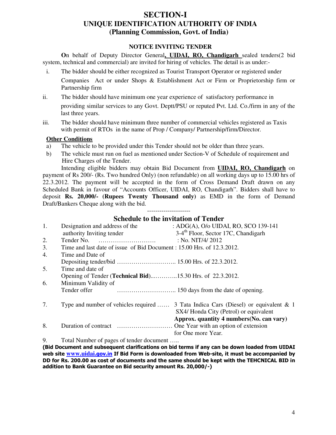## **SECTION-I UNIQUE IDENTIFICATION AUTHORITY OF INDIA (Planning Commission, Govt. of India)**

#### **NOTICE INVITING TENDER**

**O**n behalf of Deputy Director General**, UIDAI, RO, Chandigarh** sealed tenders(2 bid system, technical and commercial) are invited for hiring of vehicles. The detail is as under:-

i. The bidder should be either recognized as Tourist Transport Operator or registered under

Companies Act or under Shops & Establishment Act or Firm or Proprietorship firm or Partnership firm

- ii. The bidder should have minimum one year experience of satisfactory performance in providing similar services to any Govt. Deptt/PSU or reputed Pvt. Ltd. Co./firm in any of the last three years.
- iii. The bidder should have minimum three number of commercial vehicles registered as Taxis with permit of RTOs in the name of Prop / Company/ Partnership/firm/Director.

#### **Other Conditions**

- a) The vehicle to be provided under this Tender should not be older than three years.
- b) The vehicle must run on fuel as mentioned under Section-V of Schedule of requirement and Hire Charges of the Tender.

Intending eligible bidders may obtain Bid Document from **UIDAI, RO, Chandigarh** on payment of Rs 200/- (Rs. Two hundred Only) (non refundable) on all working days up to 15.00 hrs of 22.3.2012. The payment will be accepted in the form of Cross Demand Draft drawn on any Scheduled Bank in favour of "Accounts Officer, UIDAI, RO, Chandigarh". Bidders shall have to deposit **Rs. 20,000/- (Rupees Twenty Thousand only)** as EMD in the form of Demand Draft/Bankers Cheque along with the bid.

> --------------------- **Schedule to the invitation of Tender**

| 1.       | Designation and address of the                                         | : ADG(A), O/o UIDAI, RO, SCO 139-141                                                                                          |
|----------|------------------------------------------------------------------------|-------------------------------------------------------------------------------------------------------------------------------|
|          | authority Inviting tender                                              | 3-4 <sup>th</sup> Floor, Sector 17C, Chandigarh                                                                               |
| 2.       |                                                                        | : No. NIT/4/2012                                                                                                              |
| 3.       | Time and last date of issue of Bid Document : 15.00 Hrs. of 12.3.2012. |                                                                                                                               |
| 4.       | Time and Date of                                                       |                                                                                                                               |
|          |                                                                        |                                                                                                                               |
| 5.       | Time and date of                                                       |                                                                                                                               |
|          | Opening of Tender ( <b>Technical Bid</b> )15.30 Hrs. of 22.3.2012.     |                                                                                                                               |
| 6.       | Minimum Validity of                                                    |                                                                                                                               |
|          | Tender offer                                                           |                                                                                                                               |
| 7.       |                                                                        | Type and number of vehicles required  3 Tata Indica Cars (Diesel) or equivalent & 1<br>SX4/ Honda City (Petrol) or equivalent |
|          |                                                                        | Approx. quantity 4 numbers (No. can vary)                                                                                     |
| 8.       |                                                                        |                                                                                                                               |
|          |                                                                        | for One more Year.                                                                                                            |
| $\Omega$ | Total Myschan of nagaze of tandan dogwoont                             |                                                                                                                               |

Total Number of pages of tender document …..

(Bid Document and subsequent clarifications on bid terms if any can be down loaded from UIDAI web site **www.uidai**.gov.in If Bid Form is downloaded from Web-site, it must be accompanied by DD for Rs. 200.00 as cost of documents and the same should be kept with the TEHCNICAL BID in addition to Bank Guarantee on Bid security amount Rs. 20,000/-)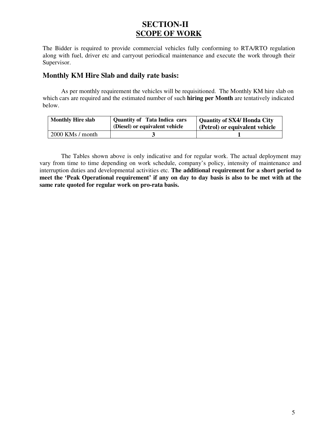## **SECTION-II SCOPE OF WORK**

The Bidder is required to provide commercial vehicles fully conforming to RTA/RTO regulation along with fuel, driver etc and carryout periodical maintenance and execute the work through their Supervisor.

#### **Monthly KM Hire Slab and daily rate basis:**

As per monthly requirement the vehicles will be requisitioned. The Monthly KM hire slab on which cars are required and the estimated number of such **hiring per Month** are tentatively indicated below.

| <b>Monthly Hire slab</b> | <b>Quantity of Tata Indica cars</b><br>(Diesel) or equivalent vehicle | Quantity of SX4/ Honda City<br>(Petrol) or equivalent vehicle |
|--------------------------|-----------------------------------------------------------------------|---------------------------------------------------------------|
| $2000$ KMs / month       |                                                                       |                                                               |

The Tables shown above is only indicative and for regular work. The actual deployment may vary from time to time depending on work schedule, company's policy, intensity of maintenance and interruption duties and developmental activities etc. **The additional requirement for a short period to meet the 'Peak Operational requirement' if any on day to day basis is also to be met with at the same rate quoted for regular work on pro-rata basis.**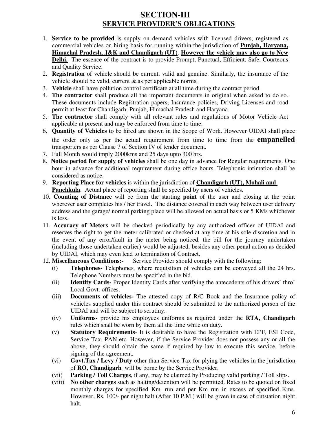## **SECTION-III SERVICE PROVIDER'S OBLIGATIONS**

- 1. **Service to be provided** is supply on demand vehicles with licensed drivers, registered as commercial vehicles on hiring basis for running within the jurisdiction of **Punjab, Haryana, Himachal Pradesh, J&K and Chandigarh (UT)**. **However the vehicle may also go to New Delhi.** The essence of the contract is to provide Prompt, Punctual, Efficient, Safe, Courteous and Quality Service.
- 2. **Registration** of vehicle should be current, valid and genuine. Similarly, the insurance of the vehicle should be valid, current & as per applicable norms.
- 3. **Vehicle** shall have pollution control certificate at all time during the contract period.
- 4. **The contractor** shall produce all the important documents in original when asked to do so. These documents include Registration papers, Insurance policies, Driving Licenses and road permit at least for Chandigarh, Punjab, Himachal Pradesh and Haryana.
- 5. **The contractor** shall comply with all relevant rules and regulations of Motor Vehicle Act applicable at present and may be enforced from time to time.
- 6. **Quantity of Vehicles** to be hired are shown in the Scope of Work. However UIDAI shall place the order only as per the actual requirement from time to time from the **empanelled** transporters as per Clause 7 of Section IV of tender document.
- 7.Full Month would imply 2000kms and 25 days upto 300 hrs.
- 8. **Notice period for supply of vehicles** shall be one day in advance for Regular requirements. One hour in advance for additional requirement during office hours. Telephonic intimation shall be considered as notice.
- 9. **Reporting Place for vehicles** is within the jurisdiction of **Chandigarh (UT), Mohali and Panchkula**. Actual place of reporting shall be specified by users of vehicles.
- 10. **Counting of Distance** will be from the starting **point** of the user and closing at the point wherever user completes his / her travel. The distance covered in each way between user delivery address and the garage/ normal parking place will be allowed on actual basis or 5 KMs whichever is less.
- 11. **Accuracy of Meters** will be checked periodically by any authorized officer of UIDAI and reserves the right to get the meter calibrated or checked at any time at his sole discretion and in the event of any error/fault in the meter being noticed, the bill for the journey undertaken (including those undertaken earlier) would be adjusted, besides any other penal action as decided by UIDAI, which may even lead to termination of Contract.
- 12. **Miscellaneous Conditions:-** Service Provider should comply with the following:
	- (i) **Telephones-** Telephones, where requisition of vehicles can be conveyed all the 24 hrs. Telephone Numbers must be specified in the bid.
	- (ii) **Identity Cards-** Proper Identity Cards after verifying the antecedents of his drivers' thro' Local Govt. offices.
	- (iii) **Documents of vehicles-** The attested copy of R/C Book and the Insurance policy of vehicles supplied under this contract should be submitted to the authorized person of the UIDAI and will be subject to scrutiny.
	- (iv) **Uniforms-** provide his employees uniforms as required under the **RTA, Chandigarh** rules which shall be worn by them all the time while on duty.
	- (v) **Statutory Requirements** It is desirable to have the Registration with EPF, ESI Code, Service Tax, PAN etc. However, if the Service Provider does not possess any or all the above, they should obtain the same if required by law to execute this service, before signing of the agreement.
	- (vi) **Govt.Tax / Levy / Duty** other than Service Tax for plying the vehicles in the jurisdiction of **RO, Chandigarh** will be borne by the Service Provider.
	- (vii) **Parking / Toll Charges**, if any, may be claimed by Producing valid parking / Toll slips.
	- (viii) **No other charges** such as halting/detention will be permitted. Rates to be quoted on fixed monthly charges for specified Km. run and per Km run in excess of specified Kms. However, Rs. 100/- per night halt (After 10 P.M.) will be given in case of outstation night halt.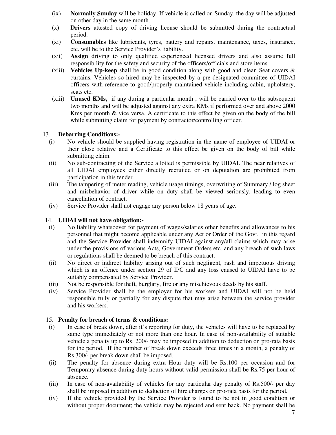- (ix) **Normally Sunday** will be holiday. If vehicle is called on Sunday, the day will be adjusted on other day in the same month.
- (x) **Drivers** attested copy of driving license should be submitted during the contractual period.
- (xi) **Consumables** like lubricants, tyres, battery and repairs, maintenance, taxes, insurance, etc. will be to the Service Provider's liability.
- (xii) **Assign** driving to only qualified experienced licensed drivers and also assume full responsibility for the safety and security of the officers/officials and store items.
- (xiii) **Vehicles Up-keep** shall be in good condition along with good and clean Seat covers & curtains. Vehicles so hired may be inspected by a pre-designated committee of UIDAI officers with reference to good/properly maintained vehicle including cabin, upholstery, seats etc.
- (xiii) **Unused KMs,** if any during a particular month , will be carried over to the subsequent two months and will be adjusted against any extra KMs if performed over and above 2000 Kms per month & vice versa. A certificate to this effect be given on the body of the bill while submitting claim for payment by contractor/controlling officer.

#### 13. **Debarring Conditions:-**

- (i) No vehicle should be supplied having registration in the name of employee of UIDAI or their close relative and a Certificate to this effect be given on the body of bill while submitting claim.
- (ii) No sub-contracting of the Service allotted is permissible by UIDAI. The near relatives of all UIDAI employees either directly recruited or on deputation are prohibited from participation in this tender.
- (iii) The tampering of meter reading, vehicle usage timings, overwriting of Summary / log sheet and misbehavior of driver while on duty shall be viewed seriously, leading to even cancellation of contract.
- (iv) Service Provider shall not engage any person below 18 years of age.

#### 14. **UIDAI will not have obligation:-**

- (i) No liability whatsoever for payment of wages/salaries other benefits and allowances to his personnel that might become applicable under any Act or Order of the Govt. in this regard and the Service Provider shall indemnify UIDAI against any/all claims which may arise under the provisions of various Acts, Government Orders etc. and any breach of such laws or regulations shall be deemed to be breach of this contract.
- (ii) No direct or indirect liability arising out of such negligent, rash and impetuous driving which is an offence under section 29 of IPC and any loss caused to UIDAI have to be suitably compensated by Service Provider.
- (iii) Not be responsible for theft, burglary, fire or any mischievous deeds by his staff.
- (iv) Service Provider shall be the employer for his workers and UIDAI will not be held responsible fully or partially for any dispute that may arise between the service provider and his workers.

#### 15. **Penalty for breach of terms & conditions:**

- (i) In case of break down, after it's reporting for duty, the vehicles will have to be replaced by same type immediately or not more than one hour. In case of non-availability of suitable vehicle a penalty up to Rs. 200/- may be imposed in addition to deduction on pro-rata basis for the period. If the number of break down exceeds three times in a month, a penalty of Rs.300/- per break down shall be imposed.
- (ii) The penalty for absence during extra Hour duty will be Rs.100 per occasion and for Temporary absence during duty hours without valid permission shall be Rs.75 per hour of absence.
- (iii) In case of non-availability of vehicles for any particular day penalty of Rs.500/- per day shall be imposed in addition to deduction of hire charges on pro-rata basis for the period.
- (iv) If the vehicle provided by the Service Provider is found to be not in good condition or without proper document; the vehicle may be rejected and sent back. No payment shall be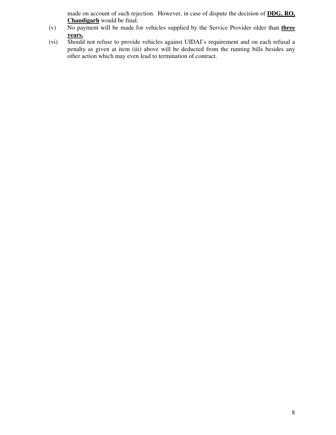made on account of such rejection. However, in case of dispute the decision of **DDG, RO, Chandigarh** would be final.

- (v) No payment will be made for vehicles supplied by the Service Provider older than **three years.**
- (vi) Should not refuse to provide vehicles against UIDAI's requirement and on each refusal a penalty as given at item (iii) above will be deducted from the running bills besides any other action which may even lead to termination of contract.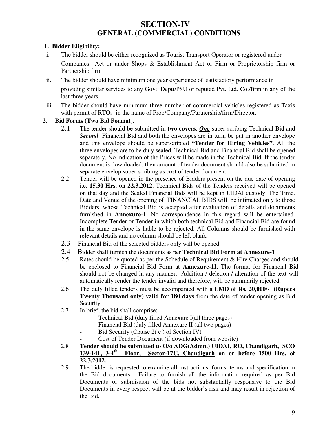## **SECTION-IV GENERAL (COMMERCIAL) CONDITIONS**

#### **1. Bidder Eligibility:**

- i. The bidder should be either recognized as Tourist Transport Operator or registered under Companies Act or under Shops & Establishment Act or Firm or Proprietorship firm or Partnership firm
- ii. The bidder should have minimum one year experience of satisfactory performance in providing similar services to any Govt. Deptt/PSU or reputed Pvt. Ltd. Co./firm in any of the last three years.
- iii. The bidder should have minimum three number of commercial vehicles registered as Taxis with permit of RTOs in the name of Prop/Company/Partnership/firm/Director.

#### **2. Bid Forms (Two Bid Format).**

- 2.1 The tender should be submitted in **two covers**; *One* super-scribing Technical Bid and **Second** Financial Bid and both the envelopes are in turn, be put in another envelope and this envelope should be superscripted **"Tender for Hiring Vehicles"**. All the three envelopes are to be duly sealed. Technical Bid and Financial Bid shall be opened separately. No indication of the Prices will be made in the Technical Bid. If the tender document is downloaded, then amount of tender document should also be submitted in separate envelop super-scribing as cost of tender document.
- 2.2 Tender will be opened in the presence of Bidders present on the due date of opening i.e. **15.30 Hrs. on 22.3.2012**. Technical Bids of the Tenders received will be opened on that day and the Sealed Financial Bids will be kept in UIDAI custody. The Time, Date and Venue of the opening of FINANCIAL BIDS will be intimated only to those Bidders, whose Technical Bid is accepted after evaluation of details and documents furnished in **Annexure-1**. No correspondence in this regard will be entertained. Incomplete Tender or Tender in which both technical Bid and Financial Bid are found in the same envelope is liable to be rejected. All Columns should be furnished with relevant details and no column should be left blank.
- 2.3 Financial Bid of the selected bidders only will be opened.
- 2.4 Bidder shall furnish the documents as per **Technical Bid Form at Annexure-1**
- 2.5 Rates should be quoted as per the Schedule of Requirement & Hire Charges and should be enclosed to Financial Bid Form at **Annexure-1I**. The format for Financial Bid should not be changed in any manner. Addition / deletion / alteration of the text will automatically render the tender invalid and therefore, will be summarily rejected.
- 2.6 The duly filled tenders must be accompanied with a **EMD of Rs. 20,000/- (Rupees Twenty Thousand only) valid for 180 days** from the date of tender opening as Bid Security.
- 2.7 In brief, the bid shall comprise:-
	- Technical Bid (duly filled Annexure I(all three pages)
	- Financial Bid (duly filled Annexure II (all two pages)
	- Bid Security (Clause 2(c) of Section IV)
	- Cost of Tender Document (if downloaded from website)
- 2.8 Tender should be submitted to  $\frac{O}{o}$  ADG(Admn.) UIDAI, RO, Chandigarh, SCO<br>139-141, 3-4<sup>th</sup> Floor, Sector-17C, Chandigarh on or before 1500 Hrs. of **139-141, 3-4th Floor, Sector-17C, Chandigarh on or before 1500 Hrs. of 22.3.2012.**
- 2.9 The bidder is requested to examine all instructions, forms, terms and specification in the Bid documents. Failure to furnish all the information required as per Bid Documents or submission of the bids not substantially responsive to the Bid Documents in every respect will be at the bidder's risk and may result in rejection of the Bid.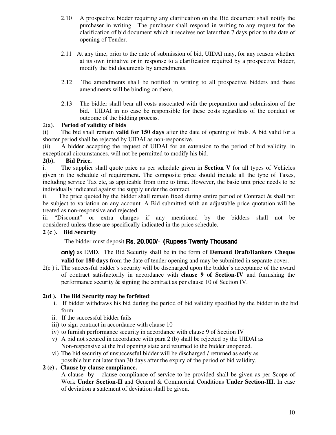- 2.10 A prospective bidder requiring any clarification on the Bid document shall notify the purchaser in writing. The purchaser shall respond in writing to any request for the clarification of bid document which it receives not later than 7 days prior to the date of opening of Tender.
- 2.11 At any time, prior to the date of submission of bid, UIDAI may, for any reason whether at its own initiative or in response to a clarification required by a prospective bidder, modify the bid documents by amendments.
- 2.12 The amendments shall be notified in writing to all prospective bidders and these amendments will be binding on them.
- 2.13 The bidder shall bear all costs associated with the preparation and submission of the bid. UIDAI in no case be responsible for these costs regardless of the conduct or outcome of the bidding process.

#### 2(a). **Period of validity of bids**

(i) The bid shall remain **valid for 150 days** after the date of opening of bids. A bid valid for a shorter period shall be rejected by UIDAI as non-responsive.

(ii) A bidder accepting the request of UIDAI for an extension to the period of bid validity, in exceptional circumstances, will not be permitted to modify his bid.

#### **2(b). Bid Price.**

i. The supplier shall quote price as per schedule given in **Section V** for all types of Vehicles given in the schedule of requirement. The composite price should include all the type of Taxes, including service Tax etc, as applicable from time to time. However, the basic unit price needs to be individually indicated against the supply under the contract.

ii. The price quoted by the bidder shall remain fixed during entire period of Contract  $\&$  shall not be subject to variation on any account. A Bid submitted with an adjustable price quotation will be treated as non-responsive and rejected.

iii "Discount" or extra charges if any mentioned by the bidders shall not be considered unless these are specifically indicated in the price schedule.

#### **2 (c ). Bid Security**

The bidder must deposit Rs. 20,000/- (Rupees Twenty Thousand

only) as EMD. The Bid Security shall be in the form of **Demand Draft/Bankers Cheque** 

**valid for 180 days** from the date of tender opening and may be submitted in separate cover.

2(c ) i. The successful bidder's security will be discharged upon the bidder's acceptance of the award of contract satisfactorily in accordance with **clause 9 of Section-IV** and furnishing the performance security & signing the contract as per clause 10 of Section IV.

#### **2(d ). The Bid Security may be forfeited**:

- i. If bidder withdraws his bid during the period of bid validity specified by the bidder in the bid form.
- ii. If the successful bidder fails
- iii) to sign contract in accordance with clause 10
- iv) to furnish performance security in accordance with clause 9 of Section IV
- v) A bid not secured in accordance with para 2 (b) shall be rejected by the UIDAI as Non-responsive at the bid opening state and returned to the bidder unopened.
- vi) The bid security of unsuccessful bidder will be discharged / returned as early as possible but not later than 30 days after the expiry of the period of bid validity.

#### **2 (e) . Clause by clause compliance.**

A clause- by – clause compliance of service to be provided shall be given as per Scope of Work **Under Section-II** and General & Commercial Conditions **Under Section-III**. In case of deviation a statement of deviation shall be given.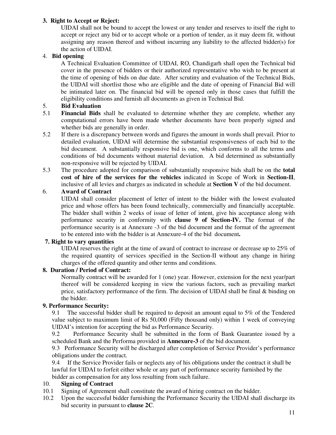#### **3. Right to Accept or Reject:**

UIDAI shall not be bound to accept the lowest or any tender and reserves to itself the right to accept or reject any bid or to accept whole or a portion of tender, as it may deem fit, without assigning any reason thereof and without incurring any liability to the affected bidder(s) for the action of UIDAI.

#### 4. **Bid opening**

A Technical Evaluation Committee of UIDAI, RO, Chandigarh shall open the Technical bid cover in the presence of bidders or their authorized representative who wish to be present at the time of opening of bids on due date. After scrutiny and evaluation of the Technical Bids, the UIDAI will shortlist those who are eligible and the date of opening of Financial Bid will be intimated later on. The financial bid will be opened only in those cases that fulfill the eligibility conditions and furnish all documents as given in Technical Bid.

#### 5. **Bid Evaluation**

- 5.1 **Financial Bids** shall be evaluated to determine whether they are complete, whether any computational errors have been made whether documents have been properly signed and whether bids are generally in order.
- 5.2 If there is a discrepancy between words and figures the amount in words shall prevail. Prior to detailed evaluation, UIDAI will determine the substantial responsiveness of each bid to the bid document. A substantially responsive bid is one, which conforms to all the terms and conditions of bid documents without material deviation. A bid determined as substantially non-responsive will be rejected by UIDAI.
- 5.3 The procedure adopted for comparison of substantially responsive bids shall be on the **total cost of hire of the services for the vehicles** indicated in Scope of Work in **Section-II**, inclusive of all levies and charges as indicated in schedule at **Section V** of the bid document.

#### 6. **Award of Contract**

UIDAI shall consider placement of letter of intent to the bidder with the lowest evaluated price and whose offers has been found technically, commercially and financially acceptable. The bidder shall within 2 weeks of issue of letter of intent, give his acceptance along with performance security in conformity with **clause 9 of Section-IV.** The format of the performance security is at Annexure -3 of the bid document and the format of the agreement to be entered into with the bidder is at Annexure-4 of the bid document**.**

#### **7. Right to vary quantities**

UIDAI reserves the right at the time of award of contract to increase or decrease up to 25% of the required quantity of services specified in the Section-II without any change in hiring charges of the offered quantity and other terms and conditions.

#### **8. Duration / Period of Contract:**

Normally contract will be awarded for 1 (one) year. However, extension for the next year/part thereof will be considered keeping in view the various factors, such as prevailing market price, satisfactory performance of the firm. The decision of UIDAI shall be final & binding on the bidder.

#### **9. Performance Security:**

9.1 The successful bidder shall be required to deposit an amount equal to 5% of the Tendered value subject to maximum limit of Rs 50,000 (Fifty thousand only) within 1 week of conveying UIDAI's intention for accepting the bid as Performance Security.

9.2 Performance Security shall be submitted in the form of Bank Guarantee issued by a scheduled Bank and the Performa provided in **Annexure-3** of the bid document.

9.3 Performance Security will be discharged after completion of Service Provider's performance obligations under the contract.

9.4 If the Service Provider fails or neglects any of his obligations under the contract it shall be lawful for UIDAI to forfeit either whole or any part of performance security furnished by the bidder as compensation for any loss resulting from such failure.

#### 10. **Signing of Contract**

- 10.1 Signing of Agreement shall constitute the award of hiring contract on the bidder.
- 10.2 Upon the successful bidder furnishing the Performance Security the UIDAI shall discharge its bid security in pursuant to **clause 2C**.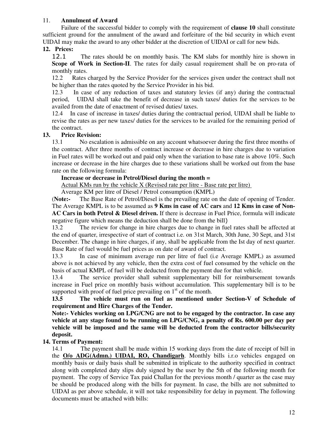#### 11. **Annulment of Award**

 Failure of the successful bidder to comply with the requirement of **clause 10** shall constitute sufficient ground for the annulment of the award and forfeiture of the bid security in which event UIDAI may make the award to any other bidder at the discretion of UIDAI or call for new bids.

#### **12. Prices:**

12.1 The rates should be on monthly basis. The KM slabs for monthly hire is shown in **Scope of Work in Section-II**. The rates for daily casual requirement shall be on pro-rata of monthly rates.

12.2 Rates charged by the Service Provider for the services given under the contract shall not be higher than the rates quoted by the Service Provider in his bid.

 12.3 In case of any reduction of taxes and statutory levies (if any) during the contractual period, UIDAI shall take the benefit of decrease in such taxes/ duties for the services to be availed from the date of enactment of revised duties/ taxes.

12.4 In case of increase in taxes/ duties during the contractual period, UIDAI shall be liable to revise the rates as per new taxes/ duties for the services to be availed for the remaining period of the contract.

#### **13. Price Revision:**

13.1 No escalation is admissible on any account whatsoever during the first three months of the contract. After three months of contract increase or decrease in hire charges due to variation in Fuel rates will be worked out and paid only when the variation to base rate is above 10%. Such increase or decrease in the hire charges due to these variations shall be worked out from the base rate on the following formula:

#### **Increase or decrease in Petrol/Diesel during the month =**

Actual KMs run by the vehicle X (Revised rate per litre - Base rate per litre)

Average KM per litre of Diesel / Petrol consumption (KMPL)

(**Note:-** The Base Rate of Petrol/Diesel is the prevailing rate on the date of opening of Tender. The Average KMPL is to be assumed as **9 Kms in case of AC cars** and **12 Kms in case of Non-AC Cars in both Petrol & Diesel driven.** If there is decrease in Fuel Price, formula will indicate negative figure which means the deduction shall be done from the bill)

13.2 The review for change in hire charges due to change in fuel rates shall be affected at the end of quarter, irrespective of start of contract i.e. on 31st March, 30th June, 30 Sept, and 31st December. The change in hire charges, if any, shall be applicable from the Ist day of next quarter. Base Rate of fuel would be fuel prices as on date of award of contract.

13.3 In case of minimum average run per litre of fuel (i.e Average KMPL) as assumed above is not achieved by any vehicle, then the extra cost of fuel consumed by the vehicle on the basis of actual KMPL of fuel will be deducted from the payment due for that vehicle.

13.4 The service provider shall submit supplementary bill for reimbursement towards increase in Fuel price on monthly basis without accumulation. This supplementary bill is to be supported with proof of fuel price prevailing on  $1<sup>st</sup>$  of the month.

**13.5 The vehicle must run on fuel as mentioned under Section-V of Schedule of requirement and Hire Charges of the Tender.** 

**Note:- Vehicles working on LPG/CNG are not to be engaged by the contractor. In case any vehicle at any stage found to be running on LPG/CNG, a penalty of Rs. 600.00 per day per vehicle will be imposed and the same will be deducted from the contractor bills/security deposit.** 

#### **14. Terms of Payment:**

14.1 The payment shall be made within 15 working days from the date of receipt of bill in the **O/o ADG(Admn.) UIDAI, RO, Chandigarh**. Monthly bills i.r.o vehicles engaged on monthly basis or daily basis shall be submitted in triplicate to the authority specified in contract along with completed duty slips duly signed by the user by the 5th of the following month for payment. The copy of Service Tax paid Challan for the previous month / quarter as the case may be should be produced along with the bills for payment. In case, the bills are not submitted to UIDAI as per above schedule, it will not take responsibility for delay in payment. The following documents must be attached with bills: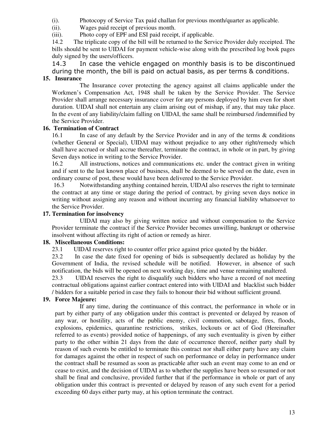(i). Photocopy of Service Tax paid challan for previous month/quarter as applicable.

(ii). Wages paid receipt of previous month.

(iii). Photo copy of EPF and ESI paid receipt, if applicable.

14.2 The triplicate copy of the bill will be returned to the Service Provider duly receipted. The bills should be sent to UIDAI for payment vehicle-wise along with the prescribed log book pages duly signed by the users/officers.

14.3 In case the vehicle engaged on monthly basis is to be discontinued during the month, the bill is paid on actual basis, as per terms & conditions.

## **15. Insurance**

The Insurance cover protecting the agency against all claims applicable under the Workmen's Compensation Act, 1948 shall be taken by the Service Provider. The Service Provider shall arrange necessary insurance cover for any persons deployed by him even for short duration. UIDAI shall not entertain any claim arising out of mishap, if any, that may take place. In the event of any liability/claim falling on UIDAI, the same shall be reimbursed /indemnified by the Service Provider.

#### **16. Termination of Contract**

16.1 In case of any default by the Service Provider and in any of the terms & conditions (whether General or Special), UIDAI may without prejudice to any other right/remedy which shall have accrued or shall accrue thereafter, terminate the contract, in whole or in part, by giving Seven days notice in writing to the Service Provider.

16.2 All instructions, notices and communications etc. under the contract given in writing and if sent to the last known place of business, shall be deemed to be served on the date, even in ordinary course of post, these would have been delivered to the Service Provider.

 16.3 Notwithstanding anything contained herein, UIDAI also reserves the right to terminate the contract at any time or stage during the period of contract, by giving seven days notice in writing without assigning any reason and without incurring any financial liability whatsoever to the Service Provider.

#### **17. Termination for insolvency**

 UIDAI may also by giving written notice and without compensation to the Service Provider terminate the contract if the Service Provider becomes unwilling, bankrupt or otherwise insolvent without affecting its right of action or remedy as hirer.

#### **18. Miscellaneous Conditions:**

23.1 UIDAI reserves right to counter offer price against price quoted by the bidder.

23.2 In case the date fixed for opening of bids is subsequently declared as holiday by the Government of India, the revised schedule will be notified. However, in absence of such notification, the bids will be opened on next working day, time and venue remaining unaltered.

23.3 UIDAI reserves the right to disqualify such bidders who have a record of not meeting contractual obligations against earlier contract entered into with UIDAI and blacklist such bidder / bidders for a suitable period in case they fails to honour their bid without sufficient ground.

#### **19. Force Majeure:**

 If any time, during the continuance of this contract, the performance in whole or in part by either party of any obligation under this contract is prevented or delayed by reason of any war, or hostility, acts of the public enemy, civil commotion, sabotage, fires, floods, explosions, epidemics, quarantine restrictions, strikes, lockouts or act of God (Hereinafter referred to as events) provided notice of happenings, of any such eventuality is given by either party to the other within 21 days from the date of occurrence thereof, neither party shall by reason of such events be entitled to terminate this contract nor shall either party have any claim for damages against the other in respect of such on performance or delay in performance under the contract shall be resumed as soon as practicable after such an event may come to an end or cease to exist, and the decision of UIDAI as to whether the supplies have been so resumed or not shall be final and conclusive, provided further that if the performance in whole or part of any obligation under this contract is prevented or delayed by reason of any such event for a period exceeding 60 days either party may, at his option terminate the contract.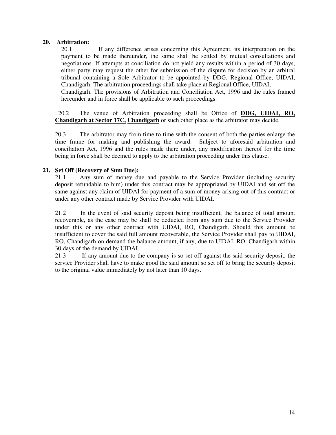#### **20. Arbitration:**

 20.1 If any difference arises concerning this Agreement, its interpretation on the payment to be made thereunder, the same shall be settled by mutual consultations and negotiations. If attempts at conciliation do not yield any results within a period of 30 days, either party may request the other for submission of the dispute for decision by an arbitral tribunal containing a Sole Arbitrator to be appointed by DDG, Regional Office, UIDAI, Chandigarh. The arbitration proceedings shall take place at Regional Office, UIDAI,

 Chandigarh. The provisions of Arbitration and Conciliation Act, 1996 and the rules framed hereunder and in force shall be applicable to such proceedings.

 20.2 The venue of Arbitration proceeding shall be Office of **DDG, UIDAI, RO, Chandigarh at Sector 17C, Chandigarh** or such other place as the arbitrator may decide.

20.3 The arbitrator may from time to time with the consent of both the parties enlarge the time frame for making and publishing the award. Subject to aforesaid arbitration and conciliation Act, 1996 and the rules made there under, any modification thereof for the time being in force shall be deemed to apply to the arbitration proceeding under this clause.

#### **21. Set Off (Recovery of Sum Due):**

21.1 Any sum of money due and payable to the Service Provider (including security deposit refundable to him) under this contract may be appropriated by UIDAI and set off the same against any claim of UIDAI for payment of a sum of money arising out of this contract or under any other contract made by Service Provider with UIDAI.

21.2 In the event of said security deposit being insufficient, the balance of total amount recoverable, as the case may be shall be deducted from any sum due to the Service Provider under this or any other contract with UIDAI, RO, Chandigarh. Should this amount be insufficient to cover the said full amount recoverable, the Service Provider shall pay to UIDAI, RO, Chandigarh on demand the balance amount, if any, due to UIDAI, RO, Chandigarh within 30 days of the demand by UIDAI.

21.3 If any amount due to the company is so set off against the said security deposit, the service Provider shall have to make good the said amount so set off to bring the security deposit to the original value immediately by not later than 10 days.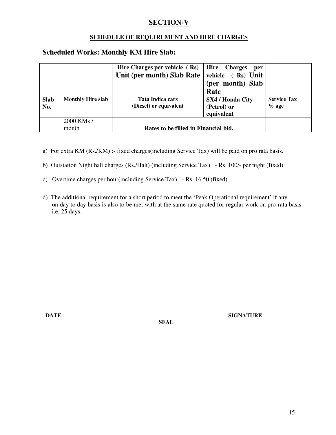## **SECTION-V**

### **SCHEDULE OF REQUIREMENT AND HIRE CHARGES**

## **Scheduled Works: Monthly KM Hire Slab:**

|                    |                          | Hire Charges per vehicle $(Rs)$<br>Unit (per month) Slab Rate | Hire Charges<br>per<br>vehicle (Rs) Unit<br>(per month) Slab<br>Rate |                               |
|--------------------|--------------------------|---------------------------------------------------------------|----------------------------------------------------------------------|-------------------------------|
| <b>Slab</b><br>No. | <b>Monthly Hire slab</b> | Tata Indica cars<br>(Diesel) or equivalent                    | <b>SX4 / Honda City</b><br>(Petrol) or<br>equivalent                 | <b>Service Tax</b><br>$%$ age |
|                    | 2000 KMs /<br>month      | Rates to be filled in Financial bid.                          |                                                                      |                               |

a) For extra KM (Rs./KM) :- fixed charges(including Service Tax) will be paid on pro rata basis.

b) Outstation Night halt charges (Rs./Halt) (including Service Tax) :- Rs. 100/- per night (fixed)

- c) Overtime charges per hour(including Service Tax) :- Rs. 16.50 (fixed)
- d) The additional requirement for a short period to meet the 'Peak Operational requirement' if any on day to day basis is also to be met with at the same rate quoted for regular work on pro-rata basis i.e. 25 days.

 **SEAL** 

**DATE** SIGNATURE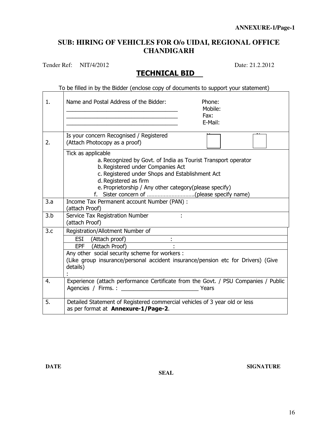## **SUB: HIRING OF VEHICLES FOR O/o UIDAI, REGIONAL OFFICE CHANDIGARH**

Tender Ref: NIT/4/2012 Date: 21.2.2012

## TECHNICAL BID

|     | To be filled in by the Bidder (enclose copy of documents to support your statement)                                                                                                                                                                            |
|-----|----------------------------------------------------------------------------------------------------------------------------------------------------------------------------------------------------------------------------------------------------------------|
| 1.  | Name and Postal Address of the Bidder:<br>Phone:<br>Mobile:<br>the control of the control of the control of the control of the control of<br>Fax:<br>E-Mail:                                                                                                   |
| 2.  | Is your concern Recognised / Registered<br>(Attach Photocopy as a proof)                                                                                                                                                                                       |
|     | Tick as applicable<br>a. Recognized by Govt. of India as Tourist Transport operator<br>b. Registered under Companies Act<br>c. Registered under Shops and Establishment Act<br>d. Registered as firm<br>e. Proprietorship / Any other category(please specify) |
| 3.a | Income Tax Permanent account Number (PAN) :<br>(attach Proof)                                                                                                                                                                                                  |
| 3.b | Service Tax Registration Number<br>(attach Proof)                                                                                                                                                                                                              |
| 3.c | Registration/Allotment Number of<br>ESI (Attach proof)<br>ESI (Attach proof) : .<br>Any other social security scheme for workers :<br>(Like group insurance/personal accident insurance/pension etc for Drivers) (Give<br>details)                             |
| 4.  | Experience (attach performance Certificate from the Govt. / PSU Companies / Public                                                                                                                                                                             |
| 5.  | Detailed Statement of Registered commercial vehicles of 3 year old or less<br>as per format at Annexure-1/Page-2.                                                                                                                                              |

 **SEAL**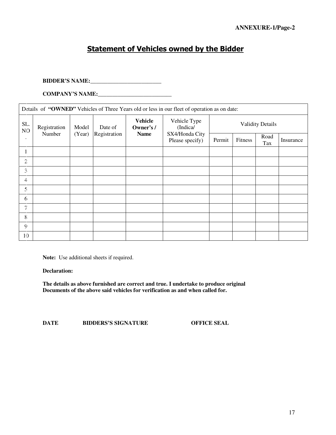## Statement of Vehicles owned by the Bidder

#### **BIDDER'S NAME:\_\_\_\_\_\_\_\_\_\_\_\_\_\_\_\_\_\_\_\_\_\_\_\_\_**

**COMPANY'S NAME:\_\_\_\_\_\_\_\_\_\_\_\_\_\_\_\_\_\_\_\_\_\_\_\_\_\_** 

| Details of "OWNED" Vehicles of Three Years old or less in our fleet of operation as on date: |              |        |              |                             |                                   |                         |         |             |           |
|----------------------------------------------------------------------------------------------|--------------|--------|--------------|-----------------------------|-----------------------------------|-------------------------|---------|-------------|-----------|
| SL.<br>NO                                                                                    | Registration | Model  | Date of      | <b>Vehicle</b><br>Owner's / | Vehicle Type<br>(Indica/          | <b>Validity Details</b> |         |             |           |
| ٠                                                                                            | Number       | (Year) | Registration | <b>Name</b>                 | SX4/Honda City<br>Please specify) | Permit                  | Fitness | Road<br>Tax | Insurance |
| 1                                                                                            |              |        |              |                             |                                   |                         |         |             |           |
| 2.                                                                                           |              |        |              |                             |                                   |                         |         |             |           |
| 3                                                                                            |              |        |              |                             |                                   |                         |         |             |           |
| 4.                                                                                           |              |        |              |                             |                                   |                         |         |             |           |
| $\frac{1}{2}$                                                                                |              |        |              |                             |                                   |                         |         |             |           |
| 6                                                                                            |              |        |              |                             |                                   |                         |         |             |           |
| 7                                                                                            |              |        |              |                             |                                   |                         |         |             |           |
| 8                                                                                            |              |        |              |                             |                                   |                         |         |             |           |
| 9                                                                                            |              |        |              |                             |                                   |                         |         |             |           |
| 10                                                                                           |              |        |              |                             |                                   |                         |         |             |           |

**Note:** Use additional sheets if required.

**Declaration:** 

**The details as above furnished are correct and true. I undertake to produce original Documents of the above said vehicles for verification as and when called for.** 

**DATE BIDDERS'S SIGNATURE OFFICE SEAL**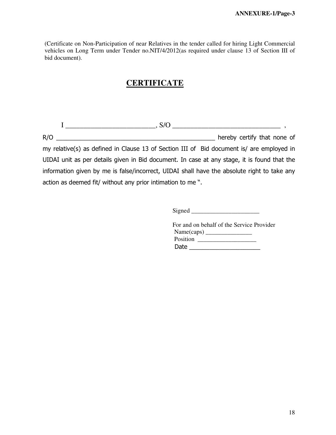(Certificate on Non-Participation of near Relatives in the tender called for hiring Light Commercial vehicles on Long Term under Tender no.NIT/4/2012(as required under clause 13 of Section III of bid document).

## **CERTIFICATE**

 $I \longrightarrow S/O \longrightarrow S/O$  , R/O \_\_\_\_\_\_\_\_\_\_\_\_\_\_\_\_\_\_\_\_\_\_\_\_\_\_\_\_\_\_\_\_\_\_\_\_\_\_\_\_\_\_\_\_\_\_\_ hereby certify that none of my relative(s) as defined in Clause 13 of Section III of Bid document is/ are employed in UIDAI unit as per details given in Bid document. In case at any stage, it is found that the information given by me is false/incorrect, UIDAI shall have the absolute right to take any action as deemed fit/ without any prior intimation to me ".

Signed \_\_\_\_\_\_\_\_\_\_\_\_\_\_\_\_\_\_\_\_\_\_

 For and on behalf of the Service Provider Name(caps) \_\_\_\_\_\_\_\_\_\_\_\_\_\_\_ Position \_\_\_\_\_\_\_\_\_\_\_\_\_\_\_\_\_\_\_  $Date$   $\Box$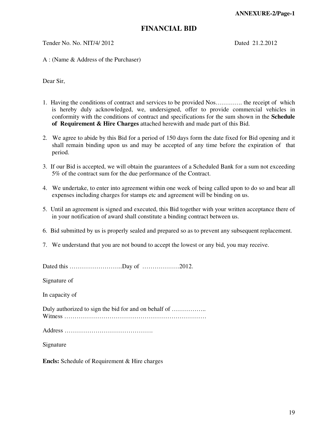#### **FINANCIAL BID**

Tender No. No. NIT/4/ 2012 Dated 21.2.2012

A : (Name & Address of the Purchaser)

Dear Sir,

- 1. Having the conditions of contract and services to be provided Nos…………. the receipt of which is hereby duly acknowledged, we, undersigned, offer to provide commercial vehicles in conformity with the conditions of contract and specifications for the sum shown in the **Schedule of Requirement & Hire Charges** attached herewith and made part of this Bid.
- 2. We agree to abide by this Bid for a period of 150 days form the date fixed for Bid opening and it shall remain binding upon us and may be accepted of any time before the expiration of that period.
- 3. If our Bid is accepted, we will obtain the guarantees of a Scheduled Bank for a sum not exceeding 5% of the contract sum for the due performance of the Contract.
- 4. We undertake, to enter into agreement within one week of being called upon to do so and bear all expenses including charges for stamps etc and agreement will be binding on us.
- 5. Until an agreement is signed and executed, this Bid together with your written acceptance there of in your notification of award shall constitute a binding contract between us.
- 6. Bid submitted by us is properly sealed and prepared so as to prevent any subsequent replacement.
- 7. We understand that you are not bound to accept the lowest or any bid, you may receive.

Dated this ……………………..Day of ………………2012.

Signature of

In capacity of

Duly authorized to sign the bid for and on behalf of ............................ Witness ……………………………………………………………

Address …………………………………….

Signature

**Encls:** Schedule of Requirement & Hire charges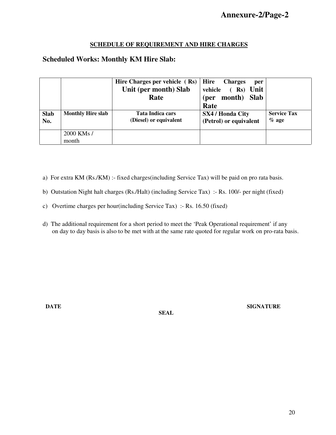#### **SCHEDULE OF REQUIREMENT AND HIRE CHARGES**

### **Scheduled Works: Monthly KM Hire Slab:**

|             |                          | Hire Charges per vehicle $(Rs)$ | <b>Hire</b><br><b>Charges</b><br>per |                    |
|-------------|--------------------------|---------------------------------|--------------------------------------|--------------------|
|             |                          | Unit (per month) Slab           | $(Rs)$ Unit<br>vehicle               |                    |
|             |                          | Rate                            | month)<br><b>Slab</b><br>(per        |                    |
|             |                          |                                 | Rate                                 |                    |
| <b>Slab</b> | <b>Monthly Hire slab</b> | Tata Indica cars                | <b>SX4 / Honda City</b>              | <b>Service Tax</b> |
| No.         |                          | (Diesel) or equivalent          | (Petrol) or equivalent               | $%$ age            |
|             |                          |                                 |                                      |                    |
|             | 2000 KMs /               |                                 |                                      |                    |
|             | month                    |                                 |                                      |                    |

- a) For extra KM (Rs./KM) :- fixed charges(including Service Tax) will be paid on pro rata basis.
- b) Outstation Night halt charges (Rs./Halt) (including Service Tax) :- Rs. 100/- per night (fixed)
- c) Overtime charges per hour(including Service Tax) :- Rs. 16.50 (fixed)
- d) The additional requirement for a short period to meet the 'Peak Operational requirement' if any on day to day basis is also to be met with at the same rate quoted for regular work on pro-rata basis.

 **SEAL** 

**DATE** SIGNATURE SIGNATURE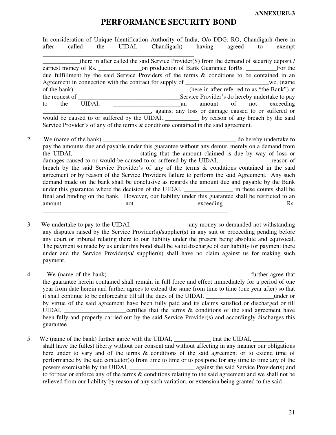## **PERFORMANCE SECURITY BOND**

In consideration of Unique Identification Authority of India, O/o DDG, RO, Chandigarh (here in after called the UIDAI, Chandigarh) having agreed to exempt \_\_\_\_\_\_\_\_\_\_\_\_\_\_\_\_\_\_\_\_\_\_\_\_\_\_\_\_\_\_\_\_\_\_\_\_\_\_\_\_\_\_\_\_\_\_\_\_\_ (here in after called the said Service Provider(S) from the demand of security deposit  $/$ earnest money of Rs.  $\qquad \qquad$  on production of Bank Guarantee forRs.  $\qquad \qquad$  For the due fulfillment by the said Service Providers of the terms & conditions to be contained in an Agreement in connection with the contract for supply of we, (name of the bank)  $(here in after referred to as "the Bank") at$ the request of \_\_\_\_\_\_\_\_\_\_\_\_\_\_\_\_\_\_\_\_\_\_\_\_\_\_\_\_\_\_\_\_\_Service Provider's do hereby undertake to pay to the UIDAI, \_\_\_\_\_\_\_\_\_\_\_\_\_\_\_\_\_\_\_\_\_\_an amount of not exceeding \_\_\_\_\_\_\_\_\_\_\_\_\_\_\_\_\_\_\_\_\_\_\_\_\_\_\_\_\_\_\_\_\_\_\_, against any loss or damage caused to or suffered or would be caused to or suffered by the UIDAI, \_\_\_\_\_\_\_\_\_\_\_\_ by reason of any breach by the said Service Provider's of any of the terms & conditions contained in the said agreement.

- 2. We (name of the bank) and  $\alpha$  do hereby undertake to  $\alpha$ pay the amounts due and payable under this guarantee without any demur, merely on a demand from the UIDAI, the UIDAI, the stating that the amount claimed is due by way of loss or damages caused to or would be caused to or suffered by the UIDAI, reason of breach by the said Service Provider's of any of the terms & conditions contained in the said agreement or by reason of the Service Providers failure to perform the said Agreement. Any such demand made on the bank shall be conclusive as regards the amount due and payable by the Bank under this guarantee where the decision of the UIDAI, \_\_\_\_\_\_\_\_\_\_\_\_\_\_\_\_ in these counts shall be final and binding on the bank. However, our liability under this guarantee shall be restricted to an amount not not exceeding Rs. \_\_\_\_\_\_\_\_\_\_\_\_\_\_\_\_\_\_\_\_\_\_\_\_\_\_\_\_\_\_\_\_\_\_\_\_\_\_\_\_\_\_\_\_\_\_\_\_\_\_\_\_\_\_\_\_\_\_\_\_.
- 3. We undertake to pay to the UIDAI, any money so demanded not withstanding any disputes raised by the Service Provider(s)/supplier(s) in any suit or proceeding pending before any court or tribunal relating there to our liability under the present being absolute and equivocal. The payment so made by us under this bond shall be valid discharge of our liability for payment there under and the Service Provider(s)/ supplier(s) shall have no claim against us for making such payment.
- 4. We (name of the bank) **Exercise 2.1** Secondary 1.1 Secondary 1.1 Secondary 1.1 Secondary 1.1 Secondary 1.1 Secondary 1.1 Secondary 1.1 Secondary 1.1 Secondary 1.1 Secondary 1.1 Secondary 1.1 Secondary 1.1 Secondary 1.1 the guarantee herein contained shall remain in full force and effect immediately for a period of one year from date herein and further agrees to extend the same from time to time (one year after) so that it shall continue to be enforceable till all the dues of the UIDAI, \_\_\_\_\_\_\_\_\_\_\_\_\_\_\_\_\_\_\_\_\_\_under or by virtue of the said agreement have been fully paid and its claims satisfied or discharged or till UIDAI, \_\_\_\_\_\_\_\_\_\_\_\_\_\_\_\_\_\_\_certifies that the terms & conditions of the said agreement have been fully and properly carried out by the said Service Provider(s) and accordingly discharges this guarantee.
- 5. We (name of the bank) further agree with the UIDAI, that the UIDAI, shall have the fullest liberty without our consent and without affecting in any manner our obligations here under to vary and of the terms & conditions of the said agreement or to extend time of performance by the said contactor(s) from time to time or to postpone for any time to time any of the powers exercisable by the UIDAI, against the said Service Provider(s) and to forbear or enforce any of the terms & conditions relating to the said agreement and we shall not be relieved from our liability by reason of any such variation, or extension being granted to the said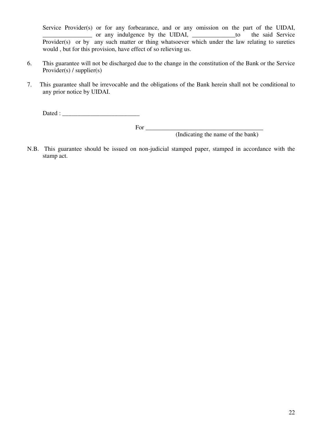Service Provider(s) or for any forbearance, and or any omission on the part of the UIDAI, \_\_\_\_\_\_\_\_\_\_\_\_\_\_\_\_ or any indulgence by the UIDAI, \_\_\_\_\_\_\_\_\_\_\_\_\_\_to the said Service Provider(s) or by any such matter or thing whatsoever which under the law relating to sureties would , but for this provision, have effect of so relieving us.

- 6. This guarantee will not be discharged due to the change in the constitution of the Bank or the Service Provider(s) / supplier(s)
- 7. This guarantee shall be irrevocable and the obligations of the Bank herein shall not be conditional to any prior notice by UIDAI.

Dated : \_\_\_\_\_\_\_\_\_\_\_\_\_\_\_\_\_\_\_\_\_\_\_\_\_

For \_\_\_\_\_\_\_\_\_\_\_\_\_\_\_\_\_\_\_\_\_\_\_\_\_\_\_\_\_\_\_\_\_\_\_\_\_\_

(Indicating the name of the bank)

N.B. This guarantee should be issued on non-judicial stamped paper, stamped in accordance with the stamp act.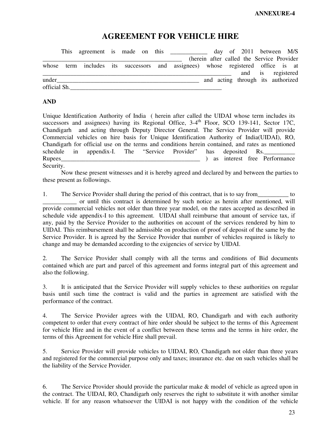## **AGREEMENT FOR VEHICLE HIRE**

|              |  |  |  |                                                                                 |  |  | day of 2011 between M/S                    |  |
|--------------|--|--|--|---------------------------------------------------------------------------------|--|--|--------------------------------------------|--|
|              |  |  |  |                                                                                 |  |  | (herein after called the Service Provider) |  |
|              |  |  |  | whose term includes its successors and assignees) whose registered office is at |  |  |                                            |  |
|              |  |  |  |                                                                                 |  |  | and is registered                          |  |
| under        |  |  |  |                                                                                 |  |  | and acting through its authorized          |  |
| official Sh. |  |  |  |                                                                                 |  |  |                                            |  |

#### **AND**

Unique Identification Authority of India ( herein after called the UIDAI whose term includes its successors and assignees) having its Regional Office, 3-4<sup>th</sup> Floor, SCO 139-141, Sector 17C, Chandigarh and acting through Deputy Director General. The Service Provider will provide Commercial vehicles on hire basis for Unique Identification Authority of India(UIDAI), RO, Chandigarh for official use on the terms and conditions herein contained, and rates as mentioned schedule in appendix-I. The "Service Provider" has deposited Rs. Rupees\_\_\_\_\_\_\_\_\_\_\_\_\_\_\_\_\_\_\_\_\_\_\_\_\_\_\_\_\_\_\_\_\_\_\_\_\_\_\_\_\_\_\_\_\_ ) as interest free Performance Security.

 Now these present witnesses and it is hereby agreed and declared by and between the parties to these present as followings.

1. The Service Provider shall during the period of this contract, that is to say from to \_\_\_\_\_\_\_\_\_\_\_ or until this contract is determined by such notice as herein after mentioned, will provide commercial vehicles not older than three year model, on the rates accepted as described in schedule vide appendix-I to this agreement. UIDAI shall reimburse that amount of service tax, if any, paid by the Service Provider to the authorities on account of the services rendered by him to UIDAI. This reimbursement shall be admissible on production of proof of deposit of the same by the Service Provider. It is agreed by the Service Provider that number of vehicles required is likely to change and may be demanded according to the exigencies of service by UIDAI.

2. The Service Provider shall comply with all the terms and conditions of Bid documents contained which are part and parcel of this agreement and forms integral part of this agreement and also the following.

3. It is anticipated that the Service Provider will supply vehicles to these authorities on regular basis until such time the contract is valid and the parties in agreement are satisfied with the performance of the contract.

4. The Service Provider agrees with the UIDAI, RO, Chandigarh and with each authority competent to order that every contract of hire order should be subject to the terms of this Agreement for vehicle Hire and in the event of a conflict between these terms and the terms in hire order, the terms of this Agreement for vehicle Hire shall prevail.

5. Service Provider will provide vehicles to UIDAI, RO, Chandigarh not older than three years and registered for the commercial purpose only and taxes; insurance etc. due on such vehicles shall be the liability of the Service Provider.

6. The Service Provider should provide the particular make & model of vehicle as agreed upon in the contract. The UIDAI, RO, Chandigarh only reserves the right to substitute it with another similar vehicle. If for any reason whatsoever the UIDAI is not happy with the condition of the vehicle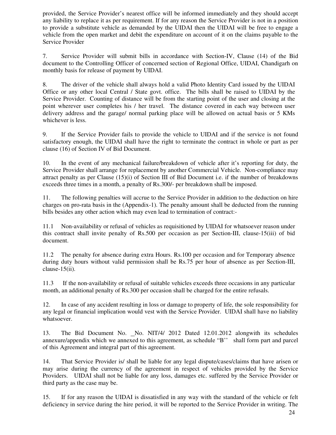provided, the Service Provider's nearest office will be informed immediately and they should accept any liability to replace it as per requirement. If for any reason the Service Provider is not in a position to provide a substitute vehicle as demanded by the UIDAI then the UIDAI will be free to engage a vehicle from the open market and debit the expenditure on account of it on the claims payable to the Service Provider

7. Service Provider will submit bills in accordance with Section-IV, Clause (14) of the Bid document to the Controlling Officer of concerned section of Regional Office, UIDAI, Chandigarh on monthly basis for release of payment by UIDAI.

8. The driver of the vehicle shall always hold a valid Photo Identity Card issued by the UIDAI Office or any other local Central / State govt. office. The bills shall be raised to UIDAI by the Service Provider. Counting of distance will be from the starting point of the user and closing at the point wherever user completes his / her travel. The distance covered in each way between user delivery address and the garage/ normal parking place will be allowed on actual basis or 5 KMs whichever is less.

9. If the Service Provider fails to provide the vehicle to UIDAI and if the service is not found satisfactory enough, the UIDAI shall have the right to terminate the contract in whole or part as per clause (16) of Section IV of Bid Document.

10. In the event of any mechanical failure/breakdown of vehicle after it's reporting for duty, the Service Provider shall arrange for replacement by another Commercial Vehicle. Non-compliance may attract penalty as per Clause (15)(i) of Section III of Bid Document i.e. if the number of breakdowns exceeds three times in a month, a penalty of Rs.300/- per breakdown shall be imposed.

11. The following penalties will accrue to the Service Provider in addition to the deduction on hire charges on pro-rata basis in the (Appendix-1). The penalty amount shall be deducted from the running bills besides any other action which may even lead to termination of contract:-

11.1 Non-availability or refusal of vehicles as requisitioned by UIDAI for whatsoever reason under this contract shall invite penalty of Rs.500 per occasion as per Section-III, clause-15(iii) of bid document.

11.2 The penalty for absence during extra Hours. Rs.100 per occasion and for Temporary absence during duty hours without valid permission shall be Rs.75 per hour of absence as per Section-III, clause-15(ii).

11.3 If the non-availability or refusal of suitable vehicles exceeds three occasions in any particular month, an additional penalty of Rs.300 per occasion shall be charged for the entire refusals.

12. In case of any accident resulting in loss or damage to property of life, the sole responsibility for any legal or financial implication would vest with the Service Provider. UIDAI shall have no liability whatsoever.

13. The Bid Document No. No. NIT/4/ 2012 Dated 12.01.2012 alongwith its schedules annexure/appendix which we annexed to this agreement, as schedule "B'' shall form part and parcel of this Agreement and integral part of this agreement.

14. That Service Provider is/ shall be liable for any legal dispute/cases/claims that have arisen or may arise during the currency of the agreement in respect of vehicles provided by the Service Providers. UIDAI shall not be liable for any loss, damages etc. suffered by the Service Provider or third party as the case may be.

15. If for any reason the UIDAI is dissatisfied in any way with the standard of the vehicle or felt deficiency in service during the hire period, it will be reported to the Service Provider in writing. The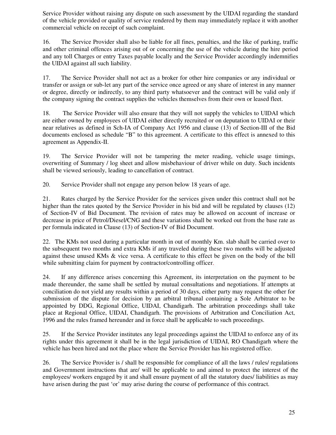Service Provider without raising any dispute on such assessment by the UIDAI regarding the standard of the vehicle provided or quality of service rendered by them may immediately replace it with another commercial vehicle on receipt of such complaint.

16. The Service Provider shall also be liable for all fines, penalties, and the like of parking, traffic and other criminal offences arising out of or concerning the use of the vehicle during the hire period and any toll Charges or entry Taxes payable locally and the Service Provider accordingly indemnifies the UIDAI against all such liability.

17. The Service Provider shall not act as a broker for other hire companies or any individual or transfer or assign or sub-let any part of the service once agreed or any share of interest in any manner or degree, directly or indirectly, to any third party whatsoever and the contract will be valid only if the company signing the contract supplies the vehicles themselves from their own or leased fleet.

18. The Service Provider will also ensure that they will not supply the vehicles to UIDAI which are either owned by employees of UIDAI either directly recruited or on deputation to UIDAI or their near relatives as defined in Sch-IA of Company Act 1956 and clause (13) of Section-III of the Bid documents enclosed as schedule "B" to this agreement. A certificate to this effect is annexed to this agreement as Appendix-II.

19. The Service Provider will not be tampering the meter reading, vehicle usage timings, overwriting of Summary / log sheet and allow misbehaviour of driver while on duty. Such incidents shall be viewed seriously, leading to cancellation of contract.

20. Service Provider shall not engage any person below 18 years of age.

21. Rates charged by the Service Provider for the services given under this contract shall not be higher than the rates quoted by the Service Provider in his bid and will be regulated by clauses (12) of Section-IV of Bid Document. The revision of rates may be allowed on account of increase or decrease in price of Petrol/Diesel/CNG and these variations shall be worked out from the base rate as per formula indicated in Clause (13) of Section-IV of Bid Document.

22. The KMs not used during a particular month in out of monthly Km. slab shall be carried over to the subsequent two months and extra KMs if any traveled during these two months will be adjusted against these unused KMs & vice versa. A certificate to this effect be given on the body of the bill while submitting claim for payment by contractor/controlling officer.

24. If any difference arises concerning this Agreement, its interpretation on the payment to be made thereunder, the same shall be settled by mutual consultations and negotiations. If attempts at conciliation do not yield any results within a period of 30 days, either party may request the other for submission of the dispute for decision by an arbitral tribunal containing a Sole Arbitrator to be appointed by DDG, Regional Office, UIDAI, Chandigarh. The arbitration proceedings shall take place at Regional Office, UIDAI, Chandigarh. The provisions of Arbitration and Conciliation Act, 1996 and the rules framed hereunder and in force shall be applicable to such proceedings.

25. If the Service Provider institutes any legal proceedings against the UIDAI to enforce any of its rights under this agreement it shall be in the legal jurisdiction of UIDAI, RO Chandigarh where the vehicle has been hired and not the place where the Service Provider has his registered office.

26. The Service Provider is / shall be responsible for compliance of all the laws / rules/ regulations and Government instructions that are/ will be applicable to and aimed to protect the interest of the employees/ workers engaged by it and shall ensure payment of all the statutory dues/ liabilities as may have arisen during the past 'or' may arise during the course of performance of this contract.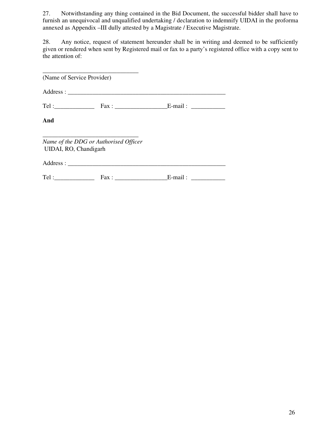27. Notwithstanding any thing contained in the Bid Document, the successful bidder shall have to furnish an unequivocal and unqualified undertaking / declaration to indemnify UIDAI in the proforma annexed as Appendix –III dully attested by a Magistrate / Executive Magistrate.

28. Any notice, request of statement hereunder shall be in writing and deemed to be sufficiently given or rendered when sent by Registered mail or fax to a party's registered office with a copy sent to the attention of:

| (Name of Service Provider) |                                       |  |  |  |  |
|----------------------------|---------------------------------------|--|--|--|--|
|                            |                                       |  |  |  |  |
|                            |                                       |  |  |  |  |
| And                        |                                       |  |  |  |  |
| UIDAI, RO, Chandigarh      | Name of the DDG or Authorised Officer |  |  |  |  |
|                            |                                       |  |  |  |  |
|                            | $Tel:$ Fax: E-mail:                   |  |  |  |  |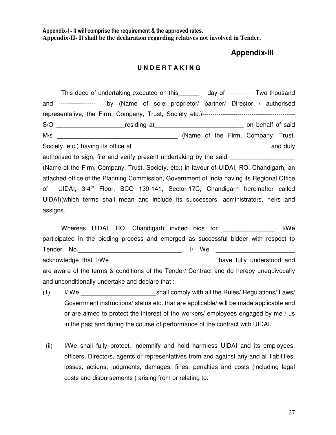Appendix-I - It will comprise the requirement & the approved rates. **Appendix-II- It shall be the declaration regarding relatives not involved in Tender.** 

#### **Appendix-III**

#### **U N D E R T A K I N G**

This deed of undertaking executed on this day of ------------ Two thousand and ------------------ by (Name of sole proprietor/ partner/ Director / authorised representative, the Firm, Company, Trust, Society etc.)--------------------------------------------- S/O **with the set of the set of the set of set of set of said** on behalf of said M/s \_\_\_\_\_\_\_\_\_\_\_\_\_\_\_\_\_\_\_\_\_\_\_\_\_\_\_\_\_\_\_\_\_\_\_ (Name of the Firm, Company, Trust, Society, etc.) having its office at\_\_\_\_\_\_\_\_\_\_\_\_\_\_\_\_\_\_\_\_\_\_\_\_\_\_\_\_\_\_\_\_\_\_\_\_\_\_\_\_ and duly authorised to sign, file and verify present undertaking by the said (Name of the Firm, Company, Trust, Society, etc.) in favour of UIDAI, RO, Chandigarh, an attached office of the Planning Commission, Government of India having its Regional Office of UIDAI, 3-4<sup>th</sup> Floor, SCO 139-141, Sector-17C, Chandigarh hereinafter called UIDAI)(which terms shall mean and include its successors, administrators, heirs and assigns.

 Whereas UIDAI, RO, Chandigarh invited bids for \_\_\_\_\_\_\_\_\_\_\_\_\_\_\_. I/We participated in the bidding process and emerged as successful bidder with respect to Tender No.\_\_\_\_\_\_\_\_\_\_\_\_\_\_\_\_\_\_\_\_\_\_\_\_\_\_\_\_\_\_. I/ We \_\_\_\_\_\_\_\_\_\_\_\_\_\_\_\_\_\_\_\_\_\_\_ acknowledge that I/We \_\_\_\_\_\_\_\_\_\_\_\_\_\_\_\_\_\_\_\_\_\_\_\_\_\_\_\_\_\_\_\_\_\_have fully understood and are aware of the terms & conditions of the Tender/ Contract and do hereby unequivocally and unconditionally undertake and declare that :

- (1) I/ We \_\_\_\_\_\_\_\_\_\_\_\_\_\_\_\_\_\_\_\_\_\_shall comply with all the Rules/ Regulations/ Laws/ Government instructions/ status etc. that are applicable/ will be made applicable and or are aimed to protect the interest of the workers/ employees engaged by me / us in the past and during the course of performance of the contract with UIDAI.
- (ii) I/We shall fully protect, indemnify and hold harmless UIDAI and its employees, officers, Directors, agents or representatives from and against any and all liabilities, losses, actions, judgments, damages, fines, penalties and costs (including legal costs and disbursements ) arising from or relating to: